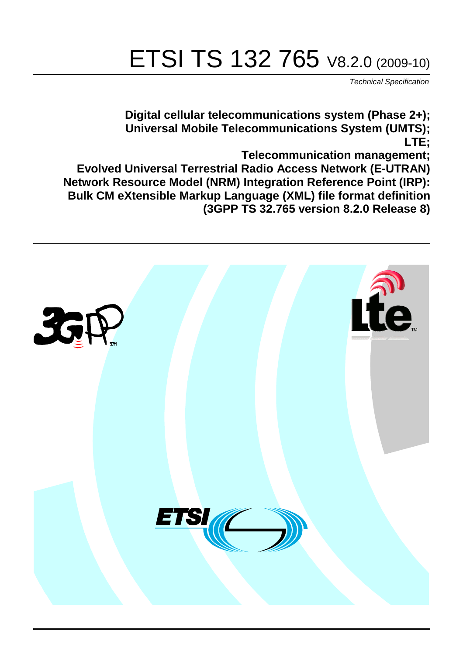# ETSI TS 132 765 V8.2.0 (2009-10)

*Technical Specification*

**Digital cellular telecommunications system (Phase 2+); Universal Mobile Telecommunications System (UMTS); LTE;**

**Telecommunication management;**

**Evolved Universal Terrestrial Radio Access Network (E-UTRAN) Network Resource Model (NRM) Integration Reference Point (IRP): Bulk CM eXtensible Markup Language (XML) file format definition (3GPP TS 32.765 version 8.2.0 Release 8)**

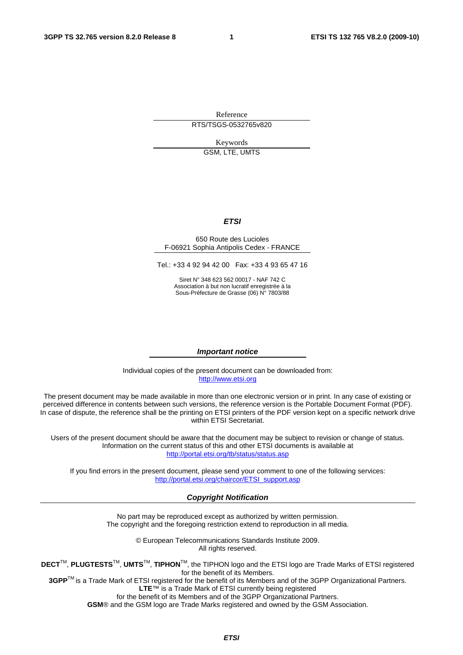Reference RTS/TSGS-0532765v820

Keywords

GSM, LTE, UMTS

#### *ETSI*

#### 650 Route des Lucioles F-06921 Sophia Antipolis Cedex - FRANCE

Tel.: +33 4 92 94 42 00 Fax: +33 4 93 65 47 16

Siret N° 348 623 562 00017 - NAF 742 C Association à but non lucratif enregistrée à la Sous-Préfecture de Grasse (06) N° 7803/88

#### *Important notice*

Individual copies of the present document can be downloaded from: [http://www.etsi.org](http://www.etsi.org/)

The present document may be made available in more than one electronic version or in print. In any case of existing or perceived difference in contents between such versions, the reference version is the Portable Document Format (PDF). In case of dispute, the reference shall be the printing on ETSI printers of the PDF version kept on a specific network drive within ETSI Secretariat.

Users of the present document should be aware that the document may be subject to revision or change of status. Information on the current status of this and other ETSI documents is available at <http://portal.etsi.org/tb/status/status.asp>

If you find errors in the present document, please send your comment to one of the following services: [http://portal.etsi.org/chaircor/ETSI\\_support.asp](http://portal.etsi.org/chaircor/ETSI_support.asp)

#### *Copyright Notification*

No part may be reproduced except as authorized by written permission. The copyright and the foregoing restriction extend to reproduction in all media.

> © European Telecommunications Standards Institute 2009. All rights reserved.

**DECT**TM, **PLUGTESTS**TM, **UMTS**TM, **TIPHON**TM, the TIPHON logo and the ETSI logo are Trade Marks of ETSI registered for the benefit of its Members.

**3GPP**TM is a Trade Mark of ETSI registered for the benefit of its Members and of the 3GPP Organizational Partners. **LTE**™ is a Trade Mark of ETSI currently being registered

for the benefit of its Members and of the 3GPP Organizational Partners.

**GSM**® and the GSM logo are Trade Marks registered and owned by the GSM Association.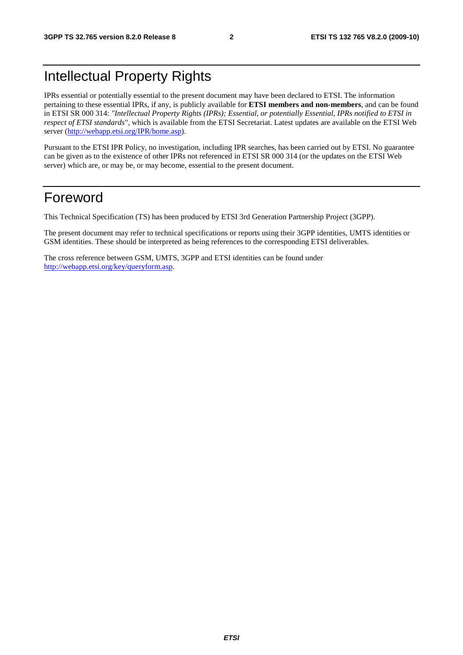### Intellectual Property Rights

IPRs essential or potentially essential to the present document may have been declared to ETSI. The information pertaining to these essential IPRs, if any, is publicly available for **ETSI members and non-members**, and can be found in ETSI SR 000 314: *"Intellectual Property Rights (IPRs); Essential, or potentially Essential, IPRs notified to ETSI in respect of ETSI standards"*, which is available from the ETSI Secretariat. Latest updates are available on the ETSI Web server ([http://webapp.etsi.org/IPR/home.asp\)](http://webapp.etsi.org/IPR/home.asp).

Pursuant to the ETSI IPR Policy, no investigation, including IPR searches, has been carried out by ETSI. No guarantee can be given as to the existence of other IPRs not referenced in ETSI SR 000 314 (or the updates on the ETSI Web server) which are, or may be, or may become, essential to the present document.

### Foreword

This Technical Specification (TS) has been produced by ETSI 3rd Generation Partnership Project (3GPP).

The present document may refer to technical specifications or reports using their 3GPP identities, UMTS identities or GSM identities. These should be interpreted as being references to the corresponding ETSI deliverables.

The cross reference between GSM, UMTS, 3GPP and ETSI identities can be found under [http://webapp.etsi.org/key/queryform.asp.](http://webapp.etsi.org/key/queryform.asp)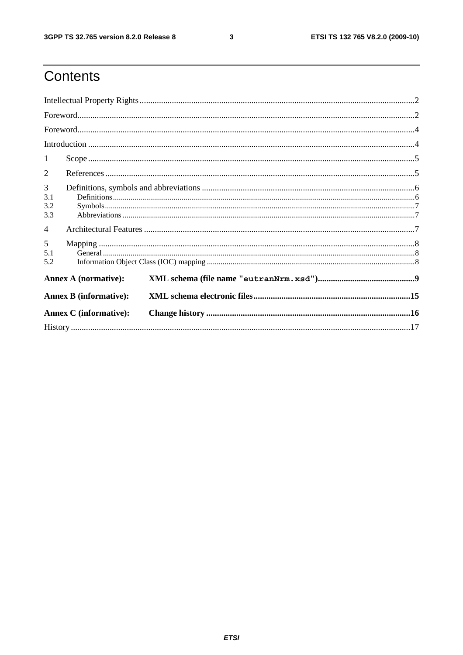$\mathbf{3}$ 

### Contents

| $\textbf{For} \textbf{word}.\textcolor{red}{\textbf{not}}. \textcolor{red}{\textbf{1}} \textcolor{red}{\textbf{1}} \textcolor{red}{\textbf{1}} \textcolor{red}{\textbf{1}} \textcolor{red}{\textbf{1}} \textcolor{red}{\textbf{1}} \textcolor{red}{\textbf{1}} \textcolor{red}{\textbf{1}} \textcolor{red}{\textbf{1}} \textcolor{red}{\textbf{1}} \textcolor{red}{\textbf{1}} \textcolor{red}{\textbf{1}} \textcolor{red}{\textbf{1}} \textcolor{red}{\textbf{1}} \textcolor{red}{\textbf{1}} \textcolor{red}{\textbf{1}} \textcolor$ |  |  |  |  |
|----------------------------------------------------------------------------------------------------------------------------------------------------------------------------------------------------------------------------------------------------------------------------------------------------------------------------------------------------------------------------------------------------------------------------------------------------------------------------------------------------------------------------------------|--|--|--|--|
|                                                                                                                                                                                                                                                                                                                                                                                                                                                                                                                                        |  |  |  |  |
|                                                                                                                                                                                                                                                                                                                                                                                                                                                                                                                                        |  |  |  |  |
| 1                                                                                                                                                                                                                                                                                                                                                                                                                                                                                                                                      |  |  |  |  |
| 2                                                                                                                                                                                                                                                                                                                                                                                                                                                                                                                                      |  |  |  |  |
| 3<br>3.1<br>3.2<br>3.3                                                                                                                                                                                                                                                                                                                                                                                                                                                                                                                 |  |  |  |  |
| $\overline{4}$                                                                                                                                                                                                                                                                                                                                                                                                                                                                                                                         |  |  |  |  |
| 5<br>5.1<br>5.2                                                                                                                                                                                                                                                                                                                                                                                                                                                                                                                        |  |  |  |  |
| <b>Annex A (normative):</b>                                                                                                                                                                                                                                                                                                                                                                                                                                                                                                            |  |  |  |  |
| <b>Annex B</b> (informative):                                                                                                                                                                                                                                                                                                                                                                                                                                                                                                          |  |  |  |  |
| <b>Annex C</b> (informative):                                                                                                                                                                                                                                                                                                                                                                                                                                                                                                          |  |  |  |  |
|                                                                                                                                                                                                                                                                                                                                                                                                                                                                                                                                        |  |  |  |  |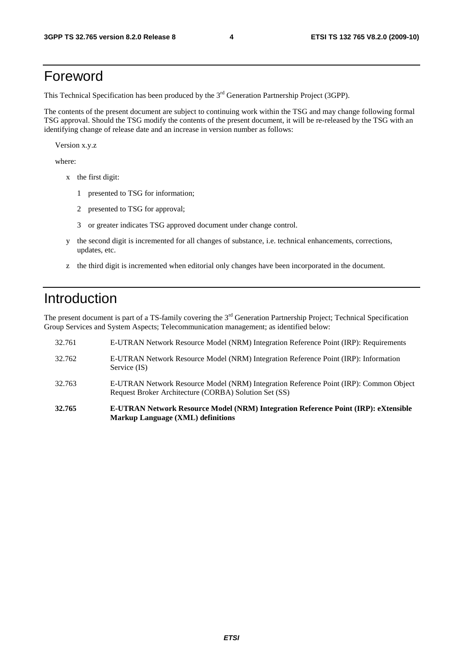### Foreword

This Technical Specification has been produced by the 3<sup>rd</sup> Generation Partnership Project (3GPP).

The contents of the present document are subject to continuing work within the TSG and may change following formal TSG approval. Should the TSG modify the contents of the present document, it will be re-released by the TSG with an identifying change of release date and an increase in version number as follows:

Version x.y.z

where:

- x the first digit:
	- 1 presented to TSG for information;
	- 2 presented to TSG for approval;
	- 3 or greater indicates TSG approved document under change control.
- y the second digit is incremented for all changes of substance, i.e. technical enhancements, corrections, updates, etc.
- z the third digit is incremented when editorial only changes have been incorporated in the document.

### Introduction

The present document is part of a TS-family covering the 3<sup>rd</sup> Generation Partnership Project; Technical Specification Group Services and System Aspects; Telecommunication management; as identified below:

- 32.761 E-UTRAN Network Resource Model (NRM) Integration Reference Point (IRP): Requirements 32.762 E-UTRAN Network Resource Model (NRM) Integration Reference Point (IRP): Information Service (IS) 32.763 E-UTRAN Network Resource Model (NRM) Integration Reference Point (IRP): Common Object Request Broker Architecture (CORBA) Solution Set (SS) **32.765 E-UTRAN Network Resource Model (NRM) Integration Reference Point (IRP): eXtensible**
- **Markup Language (XML) definitions**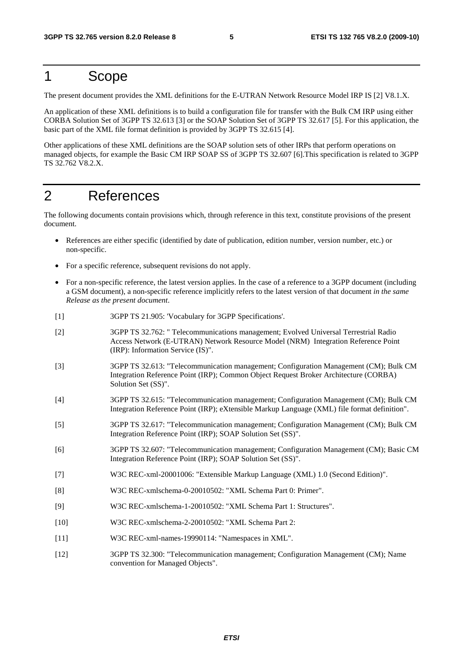### 1 Scope

The present document provides the XML definitions for the E-UTRAN Network Resource Model IRP IS [2] V8.1.X.

An application of these XML definitions is to build a configuration file for transfer with the Bulk CM IRP using either CORBA Solution Set of 3GPP TS 32.613 [3] or the SOAP Solution Set of 3GPP TS 32.617 [5]. For this application, the basic part of the XML file format definition is provided by 3GPP TS 32.615 [4].

Other applications of these XML definitions are the SOAP solution sets of other IRPs that perform operations on managed objects, for example the Basic CM IRP SOAP SS of 3GPP TS 32.607 [6].This specification is related to 3GPP TS 32.762 V8.2.X.

### 2 References

The following documents contain provisions which, through reference in this text, constitute provisions of the present document.

- References are either specific (identified by date of publication, edition number, version number, etc.) or non-specific.
- For a specific reference, subsequent revisions do not apply.
- For a non-specific reference, the latest version applies. In the case of a reference to a 3GPP document (including a GSM document), a non-specific reference implicitly refers to the latest version of that document *in the same Release as the present document*.
- [1] 3GPP TS 21.905: 'Vocabulary for 3GPP Specifications'.
- [2] 3GPP TS 32.762: " Telecommunications management; Evolved Universal Terrestrial Radio Access Network (E-UTRAN) Network Resource Model (NRM) Integration Reference Point (IRP): Information Service (IS)".
- [3] 3GPP TS 32.613: "Telecommunication management; Configuration Management (CM); Bulk CM Integration Reference Point (IRP); Common Object Request Broker Architecture (CORBA) Solution Set (SS)".
- [4] 3GPP TS 32.615: "Telecommunication management; Configuration Management (CM); Bulk CM Integration Reference Point (IRP); eXtensible Markup Language (XML) file format definition".
- [5] 3GPP TS 32.617: "Telecommunication management; Configuration Management (CM); Bulk CM Integration Reference Point (IRP); SOAP Solution Set (SS)".
- [6] 3GPP TS 32.607: "Telecommunication management; Configuration Management (CM); Basic CM Integration Reference Point (IRP); SOAP Solution Set (SS)".
- [7] W3C REC-xml-20001006: "Extensible Markup Language (XML) 1.0 (Second Edition)".
- [8] W3C REC-xmlschema-0-20010502: "XML Schema Part 0: Primer".
- [9] W3C REC-xmlschema-1-20010502: "XML Schema Part 1: Structures".
- [10] W3C REC-xmlschema-2-20010502: "XML Schema Part 2:
- [11] W3C REC-xml-names-19990114: "Namespaces in XML".
- [12] 3GPP TS 32.300: "Telecommunication management; Configuration Management (CM); Name convention for Managed Objects".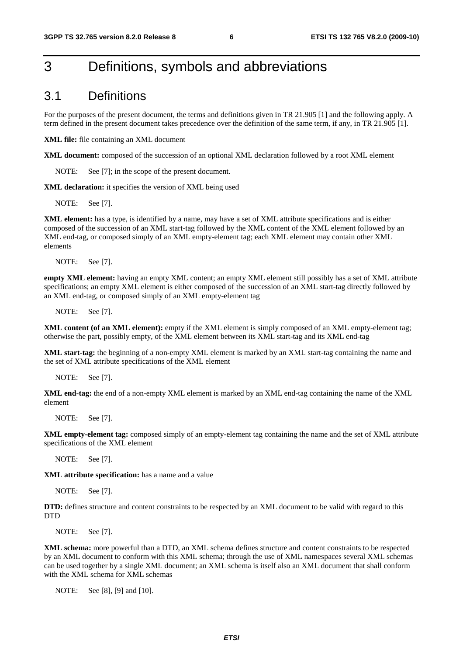### 3 Definitions, symbols and abbreviations

### 3.1 Definitions

For the purposes of the present document, the terms and definitions given in TR 21.905 [1] and the following apply. A term defined in the present document takes precedence over the definition of the same term, if any, in TR 21.905 [1].

**XML file:** file containing an XML document

**XML document:** composed of the succession of an optional XML declaration followed by a root XML element

NOTE: See [7]; in the scope of the present document.

**XML declaration:** it specifies the version of XML being used

NOTE: See [7].

**XML element:** has a type, is identified by a name, may have a set of XML attribute specifications and is either composed of the succession of an XML start-tag followed by the XML content of the XML element followed by an XML end-tag, or composed simply of an XML empty-element tag; each XML element may contain other XML elements

NOTE: See [7].

**empty XML element:** having an empty XML content; an empty XML element still possibly has a set of XML attribute specifications; an empty XML element is either composed of the succession of an XML start-tag directly followed by an XML end-tag, or composed simply of an XML empty-element tag

NOTE: See [7].

**XML content (of an XML element):** empty if the XML element is simply composed of an XML empty-element tag; otherwise the part, possibly empty, of the XML element between its XML start-tag and its XML end-tag

**XML start-tag:** the beginning of a non-empty XML element is marked by an XML start-tag containing the name and the set of XML attribute specifications of the XML element

NOTE: See [7].

**XML end-tag:** the end of a non-empty XML element is marked by an XML end-tag containing the name of the XML element

NOTE: See [7].

**XML empty-element tag:** composed simply of an empty-element tag containing the name and the set of XML attribute specifications of the XML element

NOTE: See [7].

**XML attribute specification:** has a name and a value

NOTE: See [7].

**DTD:** defines structure and content constraints to be respected by an XML document to be valid with regard to this **DTD** 

NOTE: See [7].

**XML schema:** more powerful than a DTD, an XML schema defines structure and content constraints to be respected by an XML document to conform with this XML schema; through the use of XML namespaces several XML schemas can be used together by a single XML document; an XML schema is itself also an XML document that shall conform with the XML schema for XML schemas

NOTE: See [8], [9] and [10].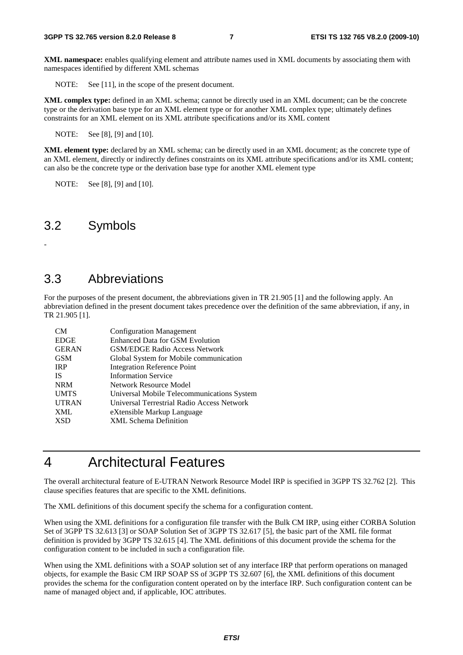**XML namespace:** enables qualifying element and attribute names used in XML documents by associating them with namespaces identified by different XML schemas

NOTE: See [11], in the scope of the present document.

**XML complex type:** defined in an XML schema; cannot be directly used in an XML document; can be the concrete type or the derivation base type for an XML element type or for another XML complex type; ultimately defines constraints for an XML element on its XML attribute specifications and/or its XML content

NOTE: See [8], [9] and [10].

**XML element type:** declared by an XML schema; can be directly used in an XML document; as the concrete type of an XML element, directly or indirectly defines constraints on its XML attribute specifications and/or its XML content; can also be the concrete type or the derivation base type for another XML element type

NOTE: See [8], [9] and [10].

### 3.2 Symbols

-

### 3.3 Abbreviations

For the purposes of the present document, the abbreviations given in TR 21.905 [1] and the following apply. An abbreviation defined in the present document takes precedence over the definition of the same abbreviation, if any, in TR 21.905 [1].

| CM           | <b>Configuration Management</b>            |
|--------------|--------------------------------------------|
| <b>EDGE</b>  | <b>Enhanced Data for GSM Evolution</b>     |
| <b>GERAN</b> | <b>GSM/EDGE Radio Access Network</b>       |
| <b>GSM</b>   | Global System for Mobile communication     |
| <b>IRP</b>   | <b>Integration Reference Point</b>         |
| <b>IS</b>    | <b>Information Service</b>                 |
| <b>NRM</b>   | Network Resource Model                     |
| <b>UMTS</b>  | Universal Mobile Telecommunications System |
| <b>UTRAN</b> | Universal Terrestrial Radio Access Network |
| <b>XML</b>   | eXtensible Markup Language                 |
| <b>XSD</b>   | <b>XML Schema Definition</b>               |

### 4 Architectural Features

The overall architectural feature of E-UTRAN Network Resource Model IRP is specified in 3GPP TS 32.762 [2]. This clause specifies features that are specific to the XML definitions.

The XML definitions of this document specify the schema for a configuration content.

When using the XML definitions for a configuration file transfer with the Bulk CM IRP, using either CORBA Solution Set of 3GPP TS 32.613 [3] or SOAP Solution Set of 3GPP TS 32.617 [5], the basic part of the XML file format definition is provided by 3GPP TS 32.615 [4]. The XML definitions of this document provide the schema for the configuration content to be included in such a configuration file.

When using the XML definitions with a SOAP solution set of any interface IRP that perform operations on managed objects, for example the Basic CM IRP SOAP SS of 3GPP TS 32.607 [6], the XML definitions of this document provides the schema for the configuration content operated on by the interface IRP. Such configuration content can be name of managed object and, if applicable, IOC attributes.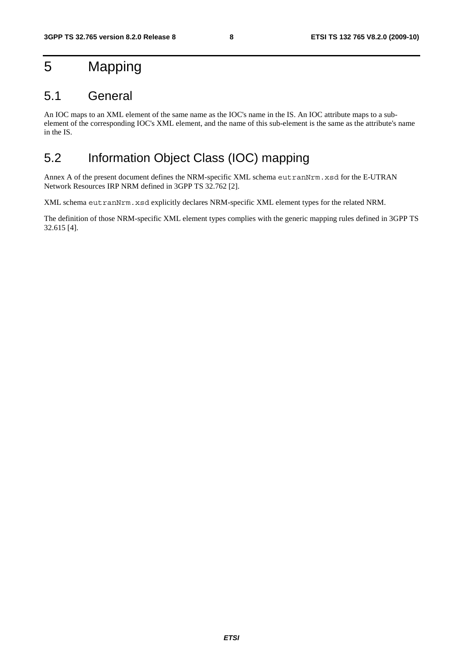### 5 Mapping

### 5.1 General

An IOC maps to an XML element of the same name as the IOC's name in the IS. An IOC attribute maps to a subelement of the corresponding IOC's XML element, and the name of this sub-element is the same as the attribute's name in the IS.

### 5.2 Information Object Class (IOC) mapping

Annex A of the present document defines the NRM-specific XML schema eutranNrm.xsd for the E-UTRAN Network Resources IRP NRM defined in 3GPP TS 32.762 [2].

XML schema eutranNrm.xsd explicitly declares NRM-specific XML element types for the related NRM.

The definition of those NRM-specific XML element types complies with the generic mapping rules defined in 3GPP TS 32.615 [4].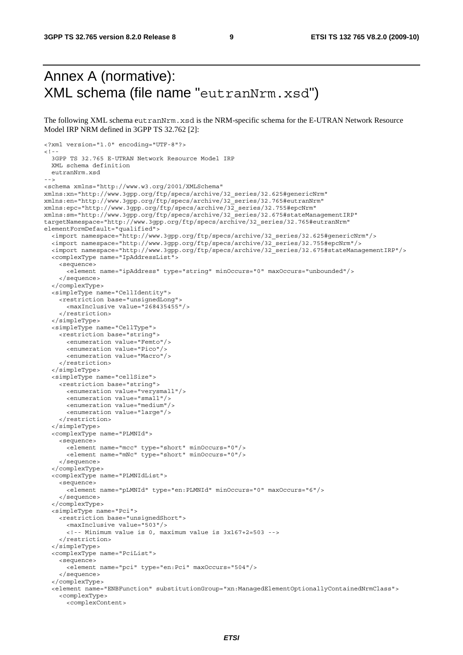### Annex A (normative): XML schema (file name "eutranNrm.xsd")

The following XML schema eutranNrm.xsd is the NRM-specific schema for the E-UTRAN Network Resource Model IRP NRM defined in 3GPP TS 32.762 [2]:

```
<?xml version="1.0" encoding="UTF-8"?> 
2 - 3GPP TS 32.765 E-UTRAN Network Resource Model IRP 
   XML schema definition 
   eutranNrm.xsd 
--> 
<schema xmlns="http://www.w3.org/2001/XMLSchema" 
xmlns:xn="http://www.3gpp.org/ftp/specs/archive/32_series/32.625#genericNrm" 
xmlns:en="http://www.3gpp.org/ftp/specs/archive/32_series/32.765#eutranNrm" 
xmlns:epc="http://www.3gpp.org/ftp/specs/archive/32_series/32.755#epcNrm" 
xmlns:sm="http://www.3gpp.org/ftp/specs/archive/32_series/32.675#stateManagementIRP" 
targetNamespace="http://www.3gpp.org/ftp/specs/archive/32_series/32.765#eutranNrm" 
elementFormDefault="qualified"> 
   <import namespace="http://www.3gpp.org/ftp/specs/archive/32_series/32.625#genericNrm"/> 
   <import namespace="http://www.3gpp.org/ftp/specs/archive/32_series/32.755#epcNrm"/> 
   <import namespace="http://www.3gpp.org/ftp/specs/archive/32_series/32.675#stateManagementIRP"/> 
   <complexType name="IpAddressList"> 
     <sequence> 
       <element name="ipAddress" type="string" minOccurs="0" maxOccurs="unbounded"/> 
     </sequence> 
   </complexType> 
   <simpleType name="CellIdentity"> 
     <restriction base="unsignedLong"> 
       <maxInclusive value="268435455"/> 
     </restriction> 
   </simpleType> 
   <simpleType name="CellType"> 
     <restriction base="string"> 
       <enumeration value="Femto"/> 
       <enumeration value="Pico"/> 
       <enumeration value="Macro"/> 
     </restriction> 
   </simpleType> 
   <simpleType name="cellSize"> 
     <restriction base="string"> 
       <enumeration value="verysmall"/> 
       <enumeration value="small"/> 
       <enumeration value="medium"/> 
       <enumeration value="large"/> 
     </restriction> 
   </simpleType> 
   <complexType name="PLMNId"> 
     <sequence> 
       <element name="mcc" type="short" minOccurs="0"/> 
       <element name="mNc" type="short" minOccurs="0"/> 
     </sequence> 
   </complexType> 
   <complexType name="PLMNIdList"> 
     <sequence> 
       <element name="pLMNId" type="en:PLMNId" minOccurs="0" maxOccurs="6"/> 
     </sequence> 
   </complexType> 
   <simpleType name="Pci"> 
     <restriction base="unsignedShort"> 
       <maxInclusive value="503"/> 
       <!-- Minimum value is 0, maximum value is 3x167+2=503 --> 
     </restriction> 
   </simpleType> 
   <complexType name="PciList"> 
     <sequence> 
       <element name="pci" type="en:Pci" maxOccurs="504"/> 
     </sequence> 
   </complexType> 
   <element name="ENBFunction" substitutionGroup="xn:ManagedElementOptionallyContainedNrmClass"> 
     <complexType> 
       <complexContent>
```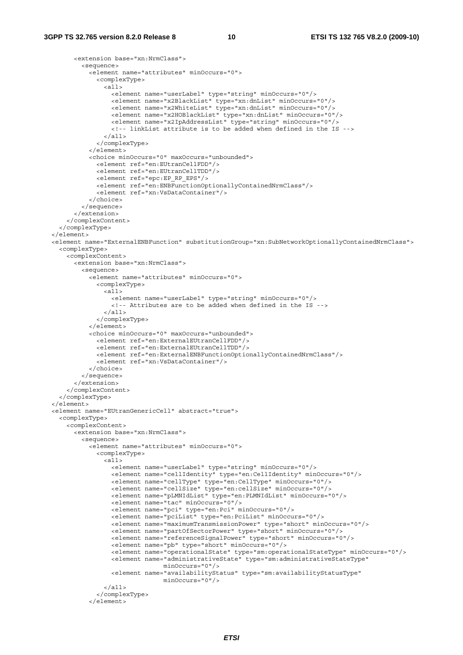```
 <extension base="xn:NrmClass"> 
           <sequence> 
             <element name="attributes" minOccurs="0"> 
               <complexType> 
                 <all> 
                   <element name="userLabel" type="string" minOccurs="0"/> 
 <element name="x2BlackList" type="xn:dnList" minOccurs="0"/> 
 <element name="x2WhiteList" type="xn:dnList" minOccurs="0"/> 
                   <element name="x2HOBlackList" type="xn:dnList" minOccurs="0"/> 
                   <element name="x2IpAddressList" type="string" minOccurs="0"/> 
                   <!-- linkList attribute is to be added when defined in the IS --> 
                \langleall\rangle </complexType> 
             </element> 
             <choice minOccurs="0" maxOccurs="unbounded"> 
               <element ref="en:EUtranCellFDD"/> 
               <element ref="en:EUtranCellTDD"/> 
               <element ref="epc:EP_RP_EPS"/> 
               <element ref="en:ENBFunctionOptionallyContainedNrmClass"/> 
               <element ref="xn:VsDataContainer"/> 
             </choice> 
           </sequence> 
         </extension> 
       </complexContent> 
     </complexType> 
  </element> 
   <element name="ExternalENBFunction" substitutionGroup="xn:SubNetworkOptionallyContainedNrmClass"> 
    <complexType> 
       <complexContent> 
        -<br><axtension base="xn:NrmClass">
           <sequence> 
             <element name="attributes" minOccurs="0"> 
               <complexType> 
                \leq all\geq <element name="userLabel" type="string" minOccurs="0"/> 
                    <!-- Attributes are to be added when defined in the IS --> 
                 </all> 
               </complexType> 
             </element> 
             <choice minOccurs="0" maxOccurs="unbounded"> 
               <element ref="en:ExternalEUtranCellFDD"/> 
               <element ref="en:ExternalEUtranCellTDD"/> 
               <element ref="en:ExternalENBFunctionOptionallyContainedNrmClass"/> 
               <element ref="xn:VsDataContainer"/> 
             </choice> 
           </sequence> 
         </extension> 
       </complexContent> 
     </complexType> 
   </element> 
  <element name="EUtranGenericCell" abstract="true"> 
    <complexType> 
       <complexContent> 
         <extension base="xn:NrmClass"> 
           <sequence> 
             <element name="attributes" minOccurs="0"> 
               <complexType> 
                 <all> 
                   <element name="userLabel" type="string" minOccurs="0"/> 
                   <element name="cellIdentity" type="en:CellIdentity" minOccurs="0"/> 
                   <element name="cellType" type="en:CellType" minOccurs="0"/> 
                   <element name="cellSize" type="en:cellSize" minOccurs="0"/> 
                   <element name="pLMNIdList" type="en:PLMNIdList" minOccurs="0"/> 
                   <element name="tac" minOccurs="0"/> 
                   <element name="pci" type="en:Pci" minOccurs="0"/> 
                   <element name="pciList" type="en:PciList" minOccurs="0"/> 
                   <element name="maximumTransmissionPower" type="short" minOccurs="0"/> 
                   <element name="partOfSectorPower" type="short" minOccurs="0"/> 
                   <element name="referenceSignalPower" type="short" minOccurs="0"/> 
                   <element name="pb" type="short" minOccurs="0"/> 
                   <element name="operationalState" type="sm:operationalStateType" minOccurs="0"/> 
                   <element name="administrativeState" type="sm:administrativeStateType" 
                                 minOccurs="0"/> 
                   <element name="availabilityStatus" type="sm:availabilityStatusType" 
                                  minOccurs="0"/> 
                \langleall\rangle </complexType> 
             </element>
```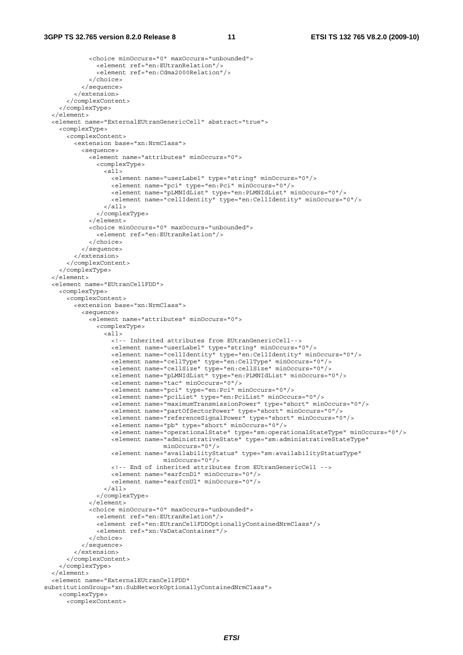#### **3GPP TS 32.765 version 8.2.0 Release 8 11 ETSI TS 132 765 V8.2.0 (2009-10)**

```
 <choice minOccurs="0" maxOccurs="unbounded"> 
                <element ref="en:EUtranRelation"/> 
                <element ref="en:Cdma2000Relation"/> 
              </choice> 
           </sequence> 
         </extension> 
       </complexContent> 
     </complexType> 
   </element> 
   <element name="ExternalEUtranGenericCell" abstract="true"> 
     <complexType> 
       <complexContent> 
         <extension base="xn:NrmClass"> 
           <sequence> 
             <element name="attributes" minOccurs="0"> 
                <complexType> 
                 \leq alls
                    <element name="userLabel" type="string" minOccurs="0"/> 
                    <element name="pci" type="en:Pci" minOccurs="0"/> 
                    <element name="pLMNIdList" type="en:PLMNIdList" minOccurs="0"/> 
                    <element name="cellIdentity" type="en:CellIdentity" minOccurs="0"/> 
                  </all> 
                </complexType> 
              </element> 
             <choice minOccurs="0" maxOccurs="unbounded"> 
                <element ref="en:EUtranRelation"/> 
              </choice> 
           </sequence> 
         </extension> 
       </complexContent> 
     </complexType> 
   </element> 
   <element name="EUtranCellFDD"> 
     <complexType> 
       <complexContent> 
         <extension base="xn:NrmClass"> 
           <sequence> 
              <element name="attributes" minOccurs="0"> 
                <complexType> 
                  <all> 
                    <!-- Inherited attributes from EUtranGenericCell--> 
                    <element name="userLabel" type="string" minOccurs="0"/> 
                    <element name="cellIdentity" type="en:CellIdentity" minOccurs="0"/> 
                    <element name="cellType" type="en:CellType" minOccurs="0"/> 
                    <element name="cellSize" type="en:cellSize" minOccurs="0"/> 
                    <element name="pLMNIdList" type="en:PLMNIdList" minOccurs="0"/> 
                    <element name="tac" minOccurs="0"/> 
                    <element name="pci" type="en:Pci" minOccurs="0"/> 
                    <element name="pciList" type="en:PciList" minOccurs="0"/> 
                    <element name="maximumTransmissionPower" type="short" minOccurs="0"/> 
                    <element name="partOfSectorPower" type="short" minOccurs="0"/> 
                    <element name="referenceSignalPower" type="short" minOccurs="0"/> 
                    <element name="pb" type="short" minOccurs="0"/> 
                    <element name="operationalState" type="sm:operationalStateType" minOccurs="0"/> 
                    <element name="administrativeState" type="sm:administrativeStateType" 
                                  minOccurs="0"/> 
                    <element name="availabilityStatus" type="sm:availabilityStatusType" 
                                   minOccurs="0"/> 
                    <!-- End of inherited attributes from EUtranGenericCell --> 
                    <element name="earfcnDl" minOccurs="0"/> 
                    <element name="earfcnUl" minOccurs="0"/> 
                  </all> 
                </complexType> 
              </element> 
              <choice minOccurs="0" maxOccurs="unbounded"> 
                <element ref="en:EUtranRelation"/> 
                <element ref="en:EUtranCellFDDOptionallyContainedNrmClass"/> 
                <element ref="xn:VsDataContainer"/> 
             </choice> 
           </sequence> 
         </extension> 
       </complexContent> 
     </complexType> 
   </element> 
   <element name="ExternalEUtranCellFDD" 
substitutionGroup="xn:SubNetworkOptionallyContainedNrmClass"> 
     <complexType> 
       <complexContent>
```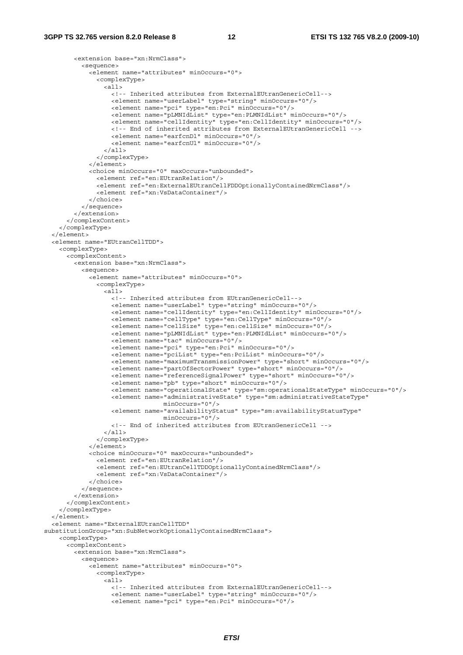```
 <extension base="xn:NrmClass"> 
           <sequence> 
             <element name="attributes" minOccurs="0"> 
               <complexType> 
                 <all> 
                   <!-- Inherited attributes from ExternalEUtranGenericCell--> 
                   <element name="userLabel" type="string" minOccurs="0"/> 
                   <element name="pci" type="en:Pci" minOccurs="0"/> 
                   <element name="pLMNIdList" type="en:PLMNIdList" minOccurs="0"/> 
                   <element name="cellIdentity" type="en:CellIdentity" minOccurs="0"/> 
                   <!-- End of inherited attributes from ExternalEUtranGenericCell --> 
                   <element name="earfcnDl" minOccurs="0"/> 
                   <element name="earfcnUl" minOccurs="0"/> 
                 </all> 
               </complexType> 
             </element> 
             <choice minOccurs="0" maxOccurs="unbounded"> 
               <element ref="en:EUtranRelation"/> 
               <element ref="en:ExternalEUtranCellFDDOptionallyContainedNrmClass"/> 
               <element ref="xn:VsDataContainer"/> 
             </choice> 
           </sequence> 
         </extension> 
       </complexContent> 
     </complexType> 
   </element> 
   <element name="EUtranCellTDD"> 
     <complexType> 
       <complexContent> 
        -<br><axtension base="xn:NrmClass">
           <sequence> 
             <element name="attributes" minOccurs="0"> 
               <complexType> 
                \leq all\geq <!-- Inherited attributes from EUtranGenericCell--> 
                   <element name="userLabel" type="string" minOccurs="0"/> 
                   <element name="cellIdentity" type="en:CellIdentity" minOccurs="0"/> 
 <element name="cellType" type="en:CellType" minOccurs="0"/> 
 <element name="cellSize" type="en:cellSize" minOccurs="0"/> 
                   <element name="pLMNIdList" type="en:PLMNIdList" minOccurs="0"/> 
                   <element name="tac" minOccurs="0"/> 
                   <element name="pci" type="en:Pci" minOccurs="0"/> 
 <element name="pciList" type="en:PciList" minOccurs="0"/> 
 <element name="maximumTransmissionPower" type="short" minOccurs="0"/> 
                   <element name="partOfSectorPower" type="short" minOccurs="0"/> 
                   <element name="referenceSignalPower" type="short" minOccurs="0"/> 
                   <element name="pb" type="short" minOccurs="0"/> 
                   <element name="operationalState" type="sm:operationalStateType" minOccurs="0"/> 
                   <element name="administrativeState" type="sm:administrativeStateType" 
                                 minOccurs="0"/> 
                   <element name="availabilityStatus" type="sm:availabilityStatusType" 
                                minOc^{r} <!-- End of inherited attributes from EUtranGenericCell --> 
                 </all> 
               </complexType> 
             </element> 
             <choice minOccurs="0" maxOccurs="unbounded"> 
               <element ref="en:EUtranRelation"/> 
               <element ref="en:EUtranCellTDDOptionallyContainedNrmClass"/> 
               <element ref="xn:VsDataContainer"/> 
             </choice> 
           </sequence> 
         </extension> 
       </complexContent> 
     </complexType> 
   </element> 
   <element name="ExternalEUtranCellTDD" 
substitutionGroup="xn:SubNetworkOptionallyContainedNrmClass"> 
     <complexType> 
       <complexContent> 
         <extension base="xn:NrmClass"> 
           <sequence> 
             <element name="attributes" minOccurs="0"> 
               <complexType> 
                <sub>all></sub></sub>
                   <!-- Inherited attributes from ExternalEUtranGenericCell--> 
                   <element name="userLabel" type="string" minOccurs="0"/> 
                   <element name="pci" type="en:Pci" minOccurs="0"/>
```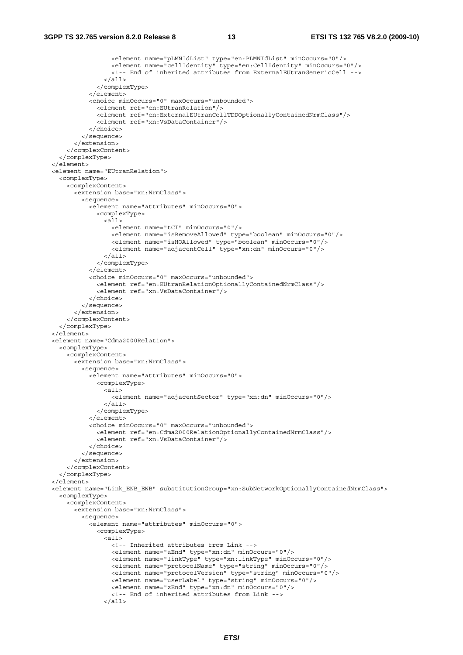```
 <element name="pLMNIdList" type="en:PLMNIdList" minOccurs="0"/> 
                  <element name="cellIdentity" type="en:CellIdentity" minOccurs="0"/> 
                  <!-- End of inherited attributes from ExternalEUtranGenericCell --> 
               \langleall\rangle </complexType> 
            </element> 
           <choice minOccurs="0" maxOccurs="unbounded"> 
              <element ref="en:EUtranRelation"/> 
              <element ref="en:ExternalEUtranCellTDDOptionallyContainedNrmClass"/> 
              <element ref="xn:VsDataContainer"/> 
           </choice> 
         </sequence> 
       </extension> 
     </complexContent> 
   </complexType> 
 </element> 
 <element name="EUtranRelation"> 
   <complexType> 
     <complexContent> 
       <extension base="xn:NrmClass"> 
         <sequence> 
            <element name="attributes" minOccurs="0"> 
              <complexType> 
                <all> 
                  <element name="tCI" minOccurs="0"/> 
                  <element name="isRemoveAllowed" type="boolean" minOccurs="0"/> 
                  <element name="isHOAllowed" type="boolean" minOccurs="0"/> 
                  <element name="adjacentCell" type="xn:dn" minOccurs="0"/> 
                </all> 
              </complexType> 
            </element> 
            <choice minOccurs="0" maxOccurs="unbounded"> 
              <element ref="en:EUtranRelationOptionallyContainedNrmClass"/> 
              <element ref="xn:VsDataContainer"/> 
           </choice> 
         </sequence> 
       </extension> 
     </complexContent> 
   </complexType> 
 </element> 
 <element name="Cdma2000Relation"> 
   <complexType> 
     <complexContent> 
       <extension base="xn:NrmClass"> 
         <sequence> 
           <element name="attributes" minOccurs="0"> 
              <complexType> 
                <all> 
                  <element name="adjacentSector" type="xn:dn" minOccurs="0"/> 
               \langleall> </complexType> 
           \epsilon/element>
            <choice minOccurs="0" maxOccurs="unbounded"> 
              <element ref="en:Cdma2000RelationOptionallyContainedNrmClass"/> 
              <element ref="xn:VsDataContainer"/> 
           </choice> 
         </sequence> 
       </extension> 
     </complexContent> 
   </complexType> 
 </element> 
 <element name="Link_ENB_ENB" substitutionGroup="xn:SubNetworkOptionallyContainedNrmClass"> 
   <complexType> 
     <complexContent> 
       <extension base="xn:NrmClass"> 
         <sequence> 
           <element name="attributes" minOccurs="0"> 
              <complexType> 
               \leq all\geq <!-- Inherited attributes from Link --> 
                  <element name="aEnd" type="xn:dn" minOccurs="0"/> 
                  <element name="linkType" type="xn:linkType" minOccurs="0"/> 
                  <element name="protocolName" type="string" minOccurs="0"/> 
                  <element name="protocolVersion" type="string" minOccurs="0"/> 
                  <element name="userLabel" type="string" minOccurs="0"/> 
                  <element name="zEnd" type="xn:dn" minOccurs="0"/> 
                  <!-- End of inherited attributes from Link --> 
               \epsilon/all\epsilon
```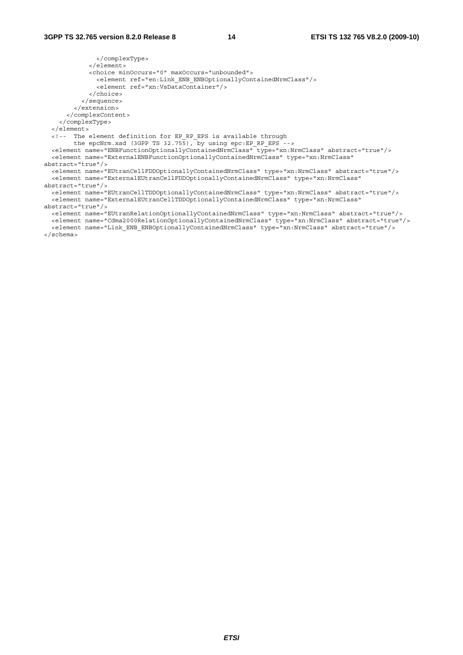</complexType> </element> <choice minOccurs="0" maxOccurs="unbounded"> <element ref="en:Link\_ENB\_ENBOptionallyContainedNrmClass"/> <element ref="xn:VsDataContainer"/> </choice> </sequence> </extension> </complexContent> </complexType> </element> <!-- The element definition for EP\_RP\_EPS is available through the epcNrm.xsd (3GPP TS 32.755), by using epc:EP\_RP\_EPS --> <element name="ENBFunctionOptionallyContainedNrmClass" type="xn:NrmClass" abstract="true"/> <element name="ExternalENBFunctionOptionallyContainedNrmClass" type="xn:NrmClass" abstract="true"/> <element name="EUtranCellFDDOptionallyContainedNrmClass" type="xn:NrmClass" abstract="true"/> <element name="ExternalEUtranCellFDDOptionallyContainedNrmClass" type="xn:NrmClass" abstract="true"/> <element name="EUtranCellTDDOptionallyContainedNrmClass" type="xn:NrmClass" abstract="true"/> <element name="ExternalEUtranCellTDDOptionallyContainedNrmClass" type="xn:NrmClass" abstract="true"/> <element name="EUtranRelationOptionallyContainedNrmClass" type="xn:NrmClass" abstract="true"/>

 <element name="Cdma2000RelationOptionallyContainedNrmClass" type="xn:NrmClass" abstract="true"/> <element name="Link\_ENB\_ENBOptionallyContainedNrmClass" type="xn:NrmClass" abstract="true"/>

</schema>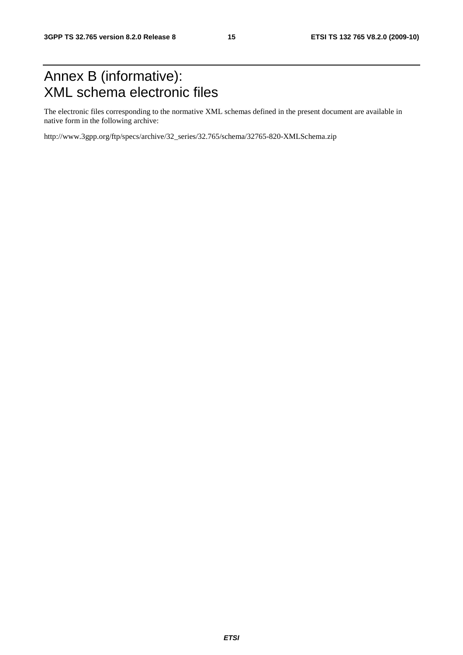### Annex B (informative): XML schema electronic files

The electronic files corresponding to the normative XML schemas defined in the present document are available in native form in the following archive:

http://www.3gpp.org/ftp/specs/archive/32\_series/32.765/schema/32765-820-XMLSchema.zip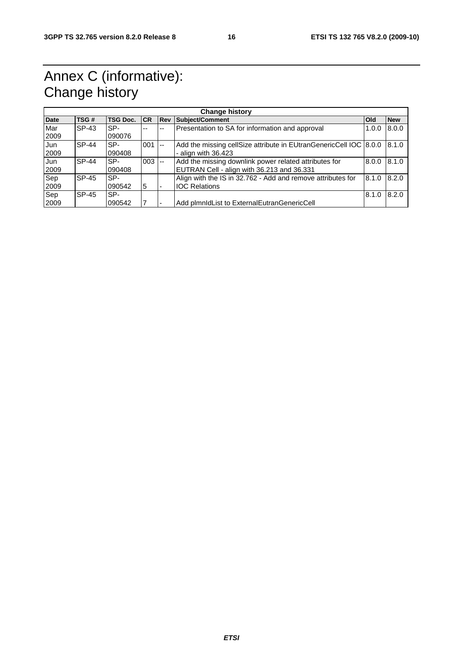### Annex C (informative): Change history

| <b>Change history</b> |         |                 |          |             |                                                                   |            |            |  |
|-----------------------|---------|-----------------|----------|-------------|-------------------------------------------------------------------|------------|------------|--|
| <b>Date</b>           | TSG#    | <b>TSG Doc.</b> | CR       | <b>IRev</b> | Subject/Comment                                                   | <b>Old</b> | <b>New</b> |  |
| Mar                   | SP-43   | SP-             | --       | --          | Presentation to SA for information and approval                   | 1.0.0      | 8.0.0      |  |
| 2009                  |         | 090076          |          |             |                                                                   |            |            |  |
| Jun                   | $SP-44$ | SP-             | $001$ -- |             | Add the missing cellSize attribute in EUtranGenericCell IOC 8.0.0 |            | 8.1.0      |  |
| 2009                  |         | 090408          |          |             | - align with $36.423$                                             |            |            |  |
| Jun                   | $SP-44$ | SP-             | $003$ -- |             | Add the missing downlink power related attributes for             | 8.0.0      | 8.1.0      |  |
| 2009                  |         | 090408          |          |             | EUTRAN Cell - align with 36.213 and 36.331                        |            |            |  |
| Sep                   | SP-45   | SP-             |          |             | Align with the IS in 32.762 - Add and remove attributes for       | 8.1.0      | 8.2.0      |  |
| 2009                  |         | 090542          | 5        |             | <b>IOC Relations</b>                                              |            |            |  |
| Sep                   | SP-45   | SP-             |          |             |                                                                   | 8.1.0      | 8.2.0      |  |
| 2009                  |         | 090542          |          |             | Add plmnldList to ExternalEutranGenericCell                       |            |            |  |